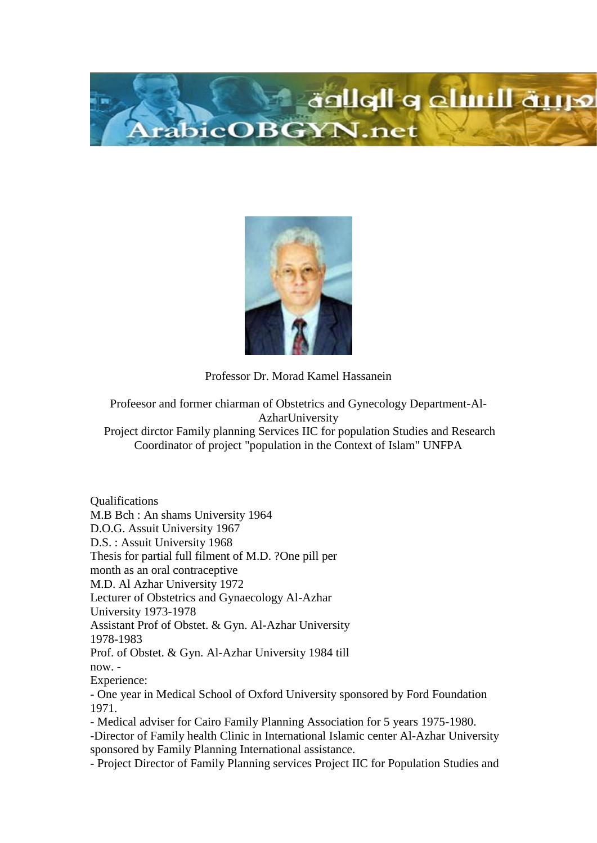



Professor Dr. Morad Kamel Hassanein

Profeesor and former chiarman of Obstetrics and Gynecology Department-Al-AzharUniversity

Project dirctor Family planning Services IIC for population Studies and Research Coordinator of project "population in the Context of Islam" UNFPA

Qualifications M.B Bch : An shams University 1964 D.O.G. Assuit University 1967 D.S. : Assuit University 1968 Thesis for partial full filment of M.D. ?One pill per month as an oral contraceptive M.D. Al Azhar University 1972 Lecturer of Obstetrics and Gynaecology Al-Azhar University 1973-1978 Assistant Prof of Obstet. & Gyn. Al-Azhar University 1978-1983 Prof. of Obstet. & Gyn. Al-Azhar University 1984 till now. - Experience: - One year in Medical School of Oxford University sponsored by Ford Foundation 1971. - Medical adviser for Cairo Family Planning Association for 5 years 1975-1980. -Director of Family health Clinic in International Islamic center Al-Azhar University sponsored by Family Planning International assistance.

- Project Director of Family Planning services Project IIC for Population Studies and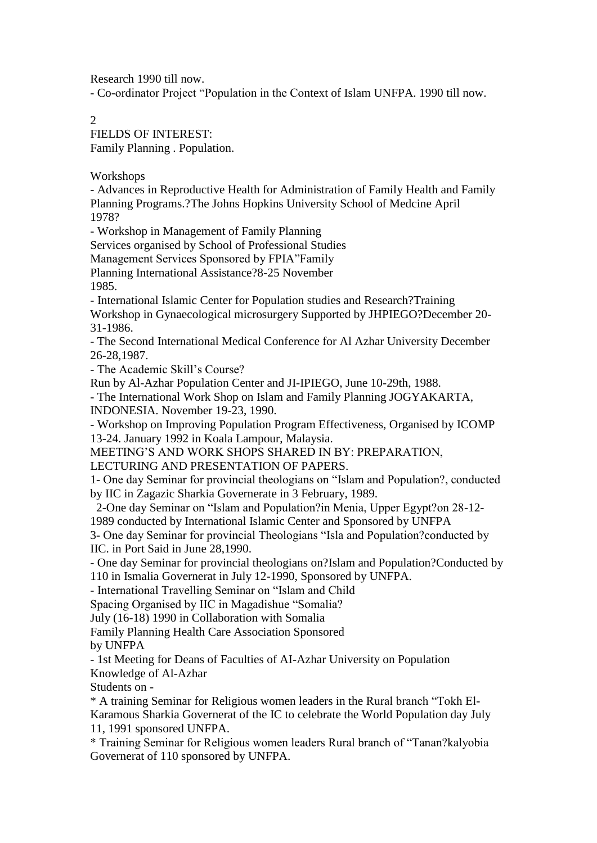Research 1990 till now.

- Co-ordinator Project "Population in the Context of Islam UNFPA. 1990 till now.

2

FIELDS OF INTEREST: Family Planning . Population.

Workshops

- Advances in Reproductive Health for Administration of Family Health and Family Planning Programs.?The Johns Hopkins University School of Medcine April 1978?

- Workshop in Management of Family Planning

Services organised by School of Professional Studies

Management Services Sponsored by FPIA"Family

Planning International Assistance?8-25 November

1985.

- International Islamic Center for Population studies and Research?Training

Workshop in Gynaecological microsurgery Supported by JHPIEGO?December 20- 31-1986.

- The Second International Medical Conference for Al Azhar University December 26-28,1987.

- The Academic Skill's Course?

Run by Al-Azhar Population Center and JI-IPIEGO, June 10-29th, 1988.

- The International Work Shop on Islam and Family Planning JOGYAKARTA, INDONESIA. November 19-23, 1990.

- Workshop on Improving Population Program Effectiveness, Organised by ICOMP 13-24. January 1992 in Koala Lampour, Malaysia.

MEETING'S AND WORK SHOPS SHARED IN BY: PREPARATION,

LECTURING AND PRESENTATION OF PAPERS.

1- One day Seminar for provincial theologians on "Islam and Population?, conducted by IIC in Zagazic Sharkia Governerate in 3 February, 1989.

2-One day Seminar on "Islam and Population?in Menia, Upper Egypt?on 28-12-

1989 conducted by International Islamic Center and Sponsored by UNFPA

3- One day Seminar for provincial Theologians "Isla and Population?conducted by IIC. in Port Said in June 28,1990.

- One day Seminar for provincial theologians on?Islam and Population?Conducted by 110 in Ismalia Governerat in July 12-1990, Sponsored by UNFPA.

- International Travelling Seminar on "Islam and Child

Spacing Organised by IIC in Magadishue "Somalia?

July (16-18) 1990 in Collaboration with Somalia

Family Planning Health Care Association Sponsored

by UNFPA

- 1st Meeting for Deans of Faculties of AI-Azhar University on Population Knowledge of Al-Azhar

Students on -

\* A training Seminar for Religious women leaders in the Rural branch "Tokh El-Karamous Sharkia Governerat of the IC to celebrate the World Population day July 11, 1991 sponsored UNFPA.

\* Training Seminar for Religious women leaders Rural branch of "Tanan?kalyobia Governerat of 110 sponsored by UNFPA.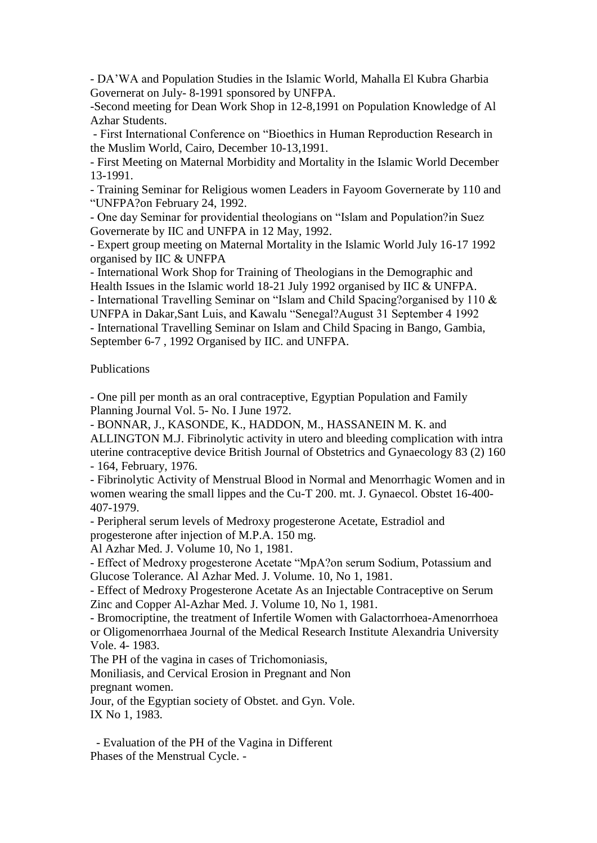- DA'WA and Population Studies in the Islamic World, Mahalla El Kubra Gharbia Governerat on July- 8-1991 sponsored by UNFPA.

-Second meeting for Dean Work Shop in 12-8,1991 on Population Knowledge of Al Azhar Students.

- First International Conference on "Bioethics in Human Reproduction Research in the Muslim World, Cairo, December 10-13,1991.

- First Meeting on Maternal Morbidity and Mortality in the Islamic World December 13-1991.

- Training Seminar for Religious women Leaders in Fayoom Governerate by 110 and "UNFPA?on February 24, 1992.

- One day Seminar for providential theologians on "Islam and Population?in Suez Governerate by IIC and UNFPA in 12 May, 1992.

- Expert group meeting on Maternal Mortality in the Islamic World July 16-17 1992 organised by IIC & UNFPA

- International Work Shop for Training of Theologians in the Demographic and Health Issues in the Islamic world 18-21 July 1992 organised by IIC & UNFPA.

- International Travelling Seminar on "Islam and Child Spacing?organised by 110 & UNFPA in Dakar,Sant Luis, and Kawalu "Senegal?August 31 September 4 1992

- International Travelling Seminar on Islam and Child Spacing in Bango, Gambia, September 6-7 , 1992 Organised by IIC. and UNFPA.

Publications

- One pill per month as an oral contraceptive, Egyptian Population and Family Planning Journal Vol. 5- No. I June 1972.

- BONNAR, J., KASONDE, K., HADDON, M., HASSANEIN M. K. and ALLINGTON M.J. Fibrinolytic activity in utero and bleeding complication with intra uterine contraceptive device British Journal of Obstetrics and Gynaecology 83 (2) 160 - 164, February, 1976.

- Fibrinolytic Activity of Menstrual Blood in Normal and Menorrhagic Women and in women wearing the small lippes and the Cu-T 200. mt. J. Gynaecol. Obstet 16-400- 407-1979.

- Peripheral serum levels of Medroxy progesterone Acetate, Estradiol and progesterone after injection of M.P.A. 150 mg.

Al Azhar Med. J. Volume 10, No 1, 1981.

- Effect of Medroxy progesterone Acetate "MpA?on serum Sodium, Potassium and Glucose Tolerance. Al Azhar Med. J. Volume. 10, No 1, 1981.

- Effect of Medroxy Progesterone Acetate As an Injectable Contraceptive on Serum Zinc and Copper Al-Azhar Med. J. Volume 10, No 1, 1981.

- Bromocriptine, the treatment of Infertile Women with Galactorrhoea-Amenorrhoea or Oligomenorrhaea Journal of the Medical Research Institute Alexandria University Vole. 4- 1983.

The PH of the vagina in cases of Trichomoniasis,

Moniliasis, and Cervical Erosion in Pregnant and Non pregnant women.

Jour, of the Egyptian society of Obstet. and Gyn. Vole. IX No 1, 1983.

- Evaluation of the PH of the Vagina in Different Phases of the Menstrual Cycle. -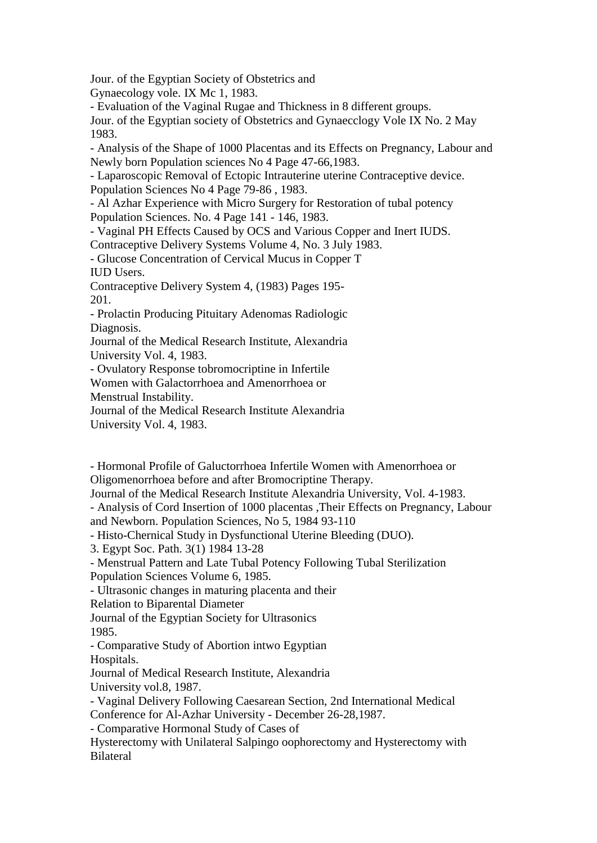Jour. of the Egyptian Society of Obstetrics and

Gynaecology vole. IX Mc 1, 1983.

- Evaluation of the Vaginal Rugae and Thickness in 8 different groups.

Jour. of the Egyptian society of Obstetrics and Gynaecclogy Vole IX No. 2 May 1983.

- Analysis of the Shape of 1000 Placentas and its Effects on Pregnancy, Labour and Newly born Population sciences No 4 Page 47-66,1983.

- Laparoscopic Removal of Ectopic Intrauterine uterine Contraceptive device. Population Sciences No 4 Page 79-86 , 1983.

- Al Azhar Experience with Micro Surgery for Restoration of tubal potency Population Sciences. No. 4 Page 141 - 146, 1983.

- Vaginal PH Effects Caused by OCS and Various Copper and Inert IUDS.

Contraceptive Delivery Systems Volume 4, No. 3 July 1983.

- Glucose Concentration of Cervical Mucus in Copper T

IUD Users.

Contraceptive Delivery System 4, (1983) Pages 195- 201.

- Prolactin Producing Pituitary Adenomas Radiologic Diagnosis.

Journal of the Medical Research Institute, Alexandria University Vol. 4, 1983.

- Ovulatory Response tobromocriptine in Infertile

Women with Galactorrhoea and Amenorrhoea or

Menstrual Instability.

Journal of the Medical Research Institute Alexandria

University Vol. 4, 1983.

- Hormonal Profile of Galuctorrhoea Infertile Women with Amenorrhoea or Oligomenorrhoea before and after Bromocriptine Therapy.

Journal of the Medical Research Institute Alexandria University, Vol. 4-1983.

- Analysis of Cord Insertion of 1000 placentas ,Their Effects on Pregnancy, Labour and Newborn. Population Sciences, No 5, 1984 93-110

- Histo-Chernical Study in Dysfunctional Uterine Bleeding (DUO).

3. Egypt Soc. Path. 3(1) 1984 13-28

- Menstrual Pattern and Late Tubal Potency Following Tubal Sterilization

Population Sciences Volume 6, 1985.

- Ultrasonic changes in maturing placenta and their

Relation to Biparental Diameter

Journal of the Egyptian Society for Ultrasonics 1985.

- Comparative Study of Abortion intwo Egyptian Hospitals.

Journal of Medical Research Institute, Alexandria

University vol.8, 1987.

- Vaginal Delivery Following Caesarean Section, 2nd International Medical Conference for Al-Azhar University - December 26-28,1987.

- Comparative Hormonal Study of Cases of

Hysterectomy with Unilateral Salpingo oophorectomy and Hysterectomy with Bilateral